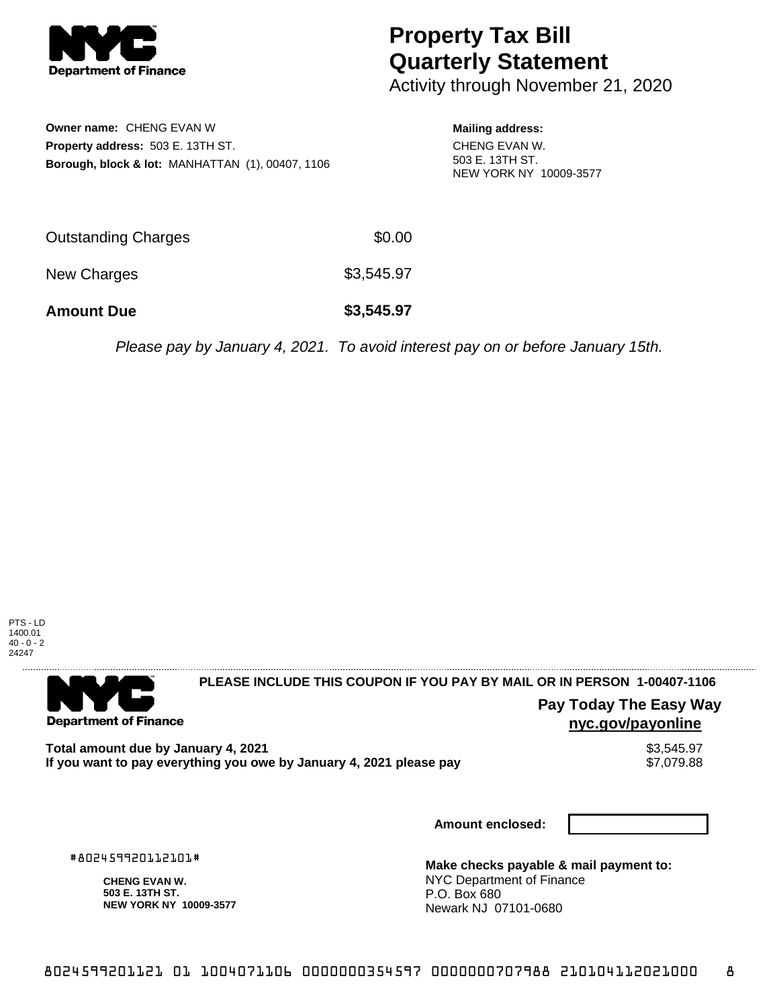

# **Property Tax Bill Quarterly Statement**

Activity through November 21, 2020

**Owner name:** CHENG EVAN W **Property address:** 503 E. 13TH ST. **Borough, block & lot:** MANHATTAN (1), 00407, 1106 **Mailing address:**

CHENG EVAN W. 503 E. 13TH ST. NEW YORK NY 10009-3577

| <b>Amount Due</b>          | \$3,545.97 |
|----------------------------|------------|
| New Charges                | \$3,545.97 |
| <b>Outstanding Charges</b> | \$0.00     |

Please pay by January 4, 2021. To avoid interest pay on or before January 15th.



. . . . . . . . . . . . . . . . .

#### 

**Department of Finance** 

**PLEASE INCLUDE THIS COUPON IF YOU PAY BY MAIL OR IN PERSON 1-00407-1106** 

### **Pay Today The Easy Way nyc.gov/payonline**

Total amount due by January 4, 2021<br>If you want to pay everything you owe by January 4, 2021 please pay **show that the same of the season of the s** If you want to pay everything you owe by January 4, 2021 please pay

**Amount enclosed:**

#802459920112101#

**CHENG EVAN W. 503 E. 13TH ST. NEW YORK NY 10009-3577**

**Make checks payable & mail payment to:** NYC Department of Finance P.O. Box 680 Newark NJ 07101-0680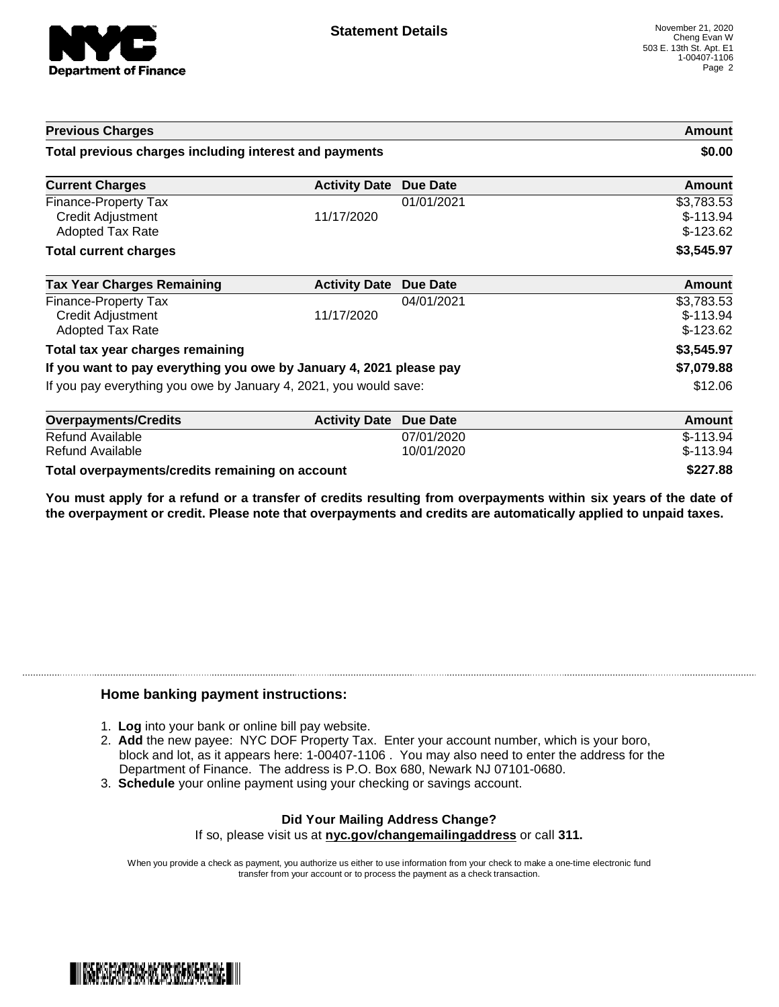

| <b>Previous Charges</b>                                                     |                      |            | Amount                                 |
|-----------------------------------------------------------------------------|----------------------|------------|----------------------------------------|
| Total previous charges including interest and payments                      |                      | \$0.00     |                                        |
| <b>Current Charges</b>                                                      | <b>Activity Date</b> | Due Date   | Amount                                 |
| Finance-Property Tax<br><b>Credit Adjustment</b><br><b>Adopted Tax Rate</b> | 11/17/2020           | 01/01/2021 | \$3,783.53<br>$$-113.94$<br>$$-123.62$ |
| <b>Total current charges</b>                                                |                      |            | \$3,545.97                             |
| <b>Tax Year Charges Remaining</b>                                           | <b>Activity Date</b> | Due Date   | Amount                                 |
| Finance-Property Tax<br><b>Credit Adjustment</b><br><b>Adopted Tax Rate</b> | 11/17/2020           | 04/01/2021 | \$3,783.53<br>$$-113.94$<br>$$-123.62$ |
| Total tax year charges remaining                                            |                      |            | \$3,545.97                             |
| If you want to pay everything you owe by January 4, 2021 please pay         |                      |            | \$7,079.88                             |
| If you pay everything you owe by January 4, 2021, you would save:           |                      | \$12.06    |                                        |
| <b>Overpayments/Credits</b>                                                 | <b>Activity Date</b> | Due Date   | <b>Amount</b>                          |
| <b>Refund Available</b>                                                     |                      | 07/01/2020 | $$-113.94$                             |

| <b>UVEI DAVINGHIJJU GUILS</b>                   | AULIVILY DAIG DUG DAIG | <b>AIIVUIIL</b> |
|-------------------------------------------------|------------------------|-----------------|
| Refund Available                                | 07/01/2020             | $$-113.94$      |
| Refund Available                                | 10/01/2020             | $$-113.94$      |
| Total overpayments/credits remaining on account |                        | \$227.88        |

You must apply for a refund or a transfer of credits resulting from overpayments within six years of the date of **the overpayment or credit. Please note that overpayments and credits are automatically applied to unpaid taxes.**

#### **Home banking payment instructions:**

- 1. **Log** into your bank or online bill pay website.
- 2. **Add** the new payee: NYC DOF Property Tax. Enter your account number, which is your boro, block and lot, as it appears here: 1-00407-1106 . You may also need to enter the address for the Department of Finance. The address is P.O. Box 680, Newark NJ 07101-0680.
- 3. **Schedule** your online payment using your checking or savings account.

## **Did Your Mailing Address Change?**

If so, please visit us at **nyc.gov/changemailingaddress** or call **311.**

When you provide a check as payment, you authorize us either to use information from your check to make a one-time electronic fund transfer from your account or to process the payment as a check transaction.